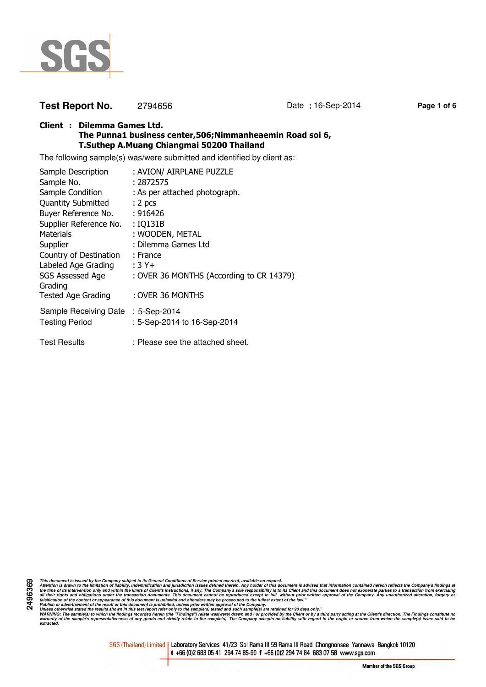

# **Test Report No.** 2794656 Date **:** 16-Sep-2014 Page 1 of 6

## **Client : Dilemma Games Ltd. The Punna1 business center,506;Nimmanheaemin Road soi 6, T.Suthep A.Muang Chiangmai 50200 Thailand**

The following sample(s) was/were submitted and identified by client as:

| Sample Description                 | : AVION/ AIRPLANE PUZZLE                 |
|------------------------------------|------------------------------------------|
| Sample No.                         | : 2872575                                |
| Sample Condition                   | : As per attached photograph.            |
| <b>Quantity Submitted</b>          | : 2 <sub>pcs</sub>                       |
| Buyer Reference No.                | : 916426                                 |
| Supplier Reference No.             | : IQ131B                                 |
| Materials                          | : WOODEN, METAL                          |
| Supplier                           | : Dilemma Games Ltd                      |
| Country of Destination             | : France                                 |
| Labeled Age Grading                | $:3Y+$                                   |
| SGS Assessed Age<br>Grading        | : OVER 36 MONTHS (According to CR 14379) |
| <b>Tested Age Grading</b>          | : OVER 36 MONTHS                         |
| Sample Receiving Date : 5-Sep-2014 |                                          |
| <b>Testing Period</b>              | : 5-Sep-2014 to 16-Sep-2014              |
| <b>Test Results</b>                | : Please see the attached sheet.         |

**2496369** This document is issued by the Company subject to its General Conditions of Service printed overled, available on regard.<br>Attention is drawn to the ilmitation of liability, indemnification and jurisdiction issues defined t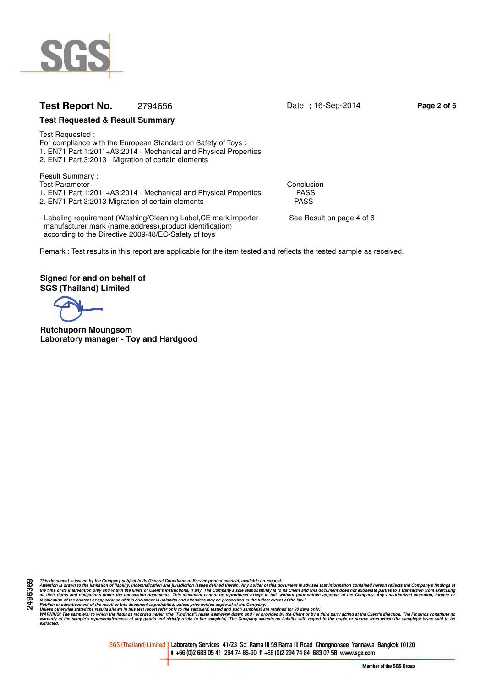

# **Test Report No.** 2794656 Date : 16-Sep-2014 Page 2 of 6

## **Test Requested & Result Summary**

Test Requested : For compliance with the European Standard on Safety of Toys :- 1. EN71 Part 1:2011+A3:2014 - Mechanical and Physical Properties 2. EN71 Part 3:2013 - Migration of certain elements

Result Summary : Test Parameter Conclusion<br>1. EN71 Part 1:2011+A3:2014 - Mechanical and Physical Properties FASS 1. EN71 Part 1:2011+A3:2014 - Mechanical and Physical Properties PASS<br>2. EN71 Part 3:2013-Migration of certain elements 2. EN71 Part 3:2013-Migration of certain elements

- Labeling requirement (Washing/Cleaning Label, CE mark, importer See Result on page 4 of 6 manufacturer mark (name,address),product identification) according to the Directive 2009/48/EC-Safety of toys

Remark : Test results in this report are applicable for the item tested and reflects the tested sample as received.

**Signed for and on behalf of SGS (Thailand) Limited**

**Rutchuporn Moungsom Laboratory manager - Toy and Hardgood**

This document is issued by the Company subject to its General Conditions of Service printed overled, available on regard.<br>Attention is drawn to the ilmitation of liability, indemnification and jurisdiction issues defined t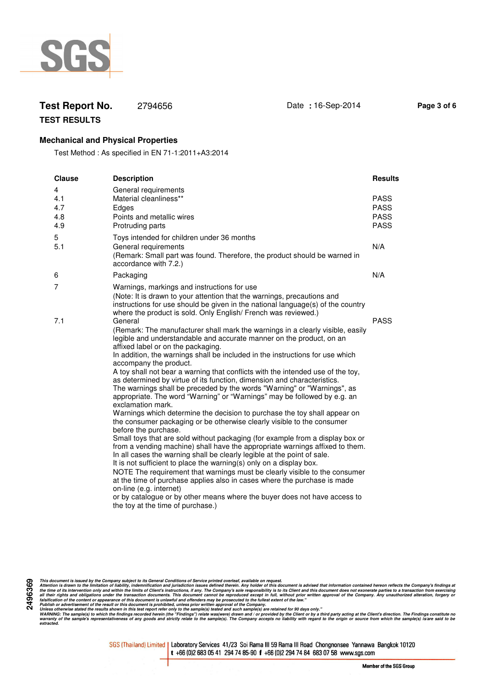

# **Test Report No.** 2794656 Date **:** 16-Sep-2014 Page 3 of 6

**TEST RESULTS**

## **Mechanical and Physical Properties**

Test Method : As specified in EN 71-1:2011+A3:2014

| <b>Clause</b>                 | <b>Description</b>                                                                                                                                                                                                                                                                                                                                                                                                                                                                                                                                                                                                                                                                                                                                                                                                                                                                                                                                                                                                                                                                                                                                                                                                                                                                                                                                                                                                                                                    | <b>Results</b>                                           |
|-------------------------------|-----------------------------------------------------------------------------------------------------------------------------------------------------------------------------------------------------------------------------------------------------------------------------------------------------------------------------------------------------------------------------------------------------------------------------------------------------------------------------------------------------------------------------------------------------------------------------------------------------------------------------------------------------------------------------------------------------------------------------------------------------------------------------------------------------------------------------------------------------------------------------------------------------------------------------------------------------------------------------------------------------------------------------------------------------------------------------------------------------------------------------------------------------------------------------------------------------------------------------------------------------------------------------------------------------------------------------------------------------------------------------------------------------------------------------------------------------------------------|----------------------------------------------------------|
| 4<br>4.1<br>4.7<br>4.8<br>4.9 | General requirements<br>Material cleanliness**<br>Edges<br>Points and metallic wires<br>Protruding parts                                                                                                                                                                                                                                                                                                                                                                                                                                                                                                                                                                                                                                                                                                                                                                                                                                                                                                                                                                                                                                                                                                                                                                                                                                                                                                                                                              | <b>PASS</b><br><b>PASS</b><br><b>PASS</b><br><b>PASS</b> |
| 5<br>5.1                      | Toys intended for children under 36 months<br>General requirements<br>(Remark: Small part was found. Therefore, the product should be warned in<br>accordance with 7.2.)                                                                                                                                                                                                                                                                                                                                                                                                                                                                                                                                                                                                                                                                                                                                                                                                                                                                                                                                                                                                                                                                                                                                                                                                                                                                                              | N/A                                                      |
| 6                             | Packaging                                                                                                                                                                                                                                                                                                                                                                                                                                                                                                                                                                                                                                                                                                                                                                                                                                                                                                                                                                                                                                                                                                                                                                                                                                                                                                                                                                                                                                                             | N/A                                                      |
| 7                             | Warnings, markings and instructions for use<br>(Note: It is drawn to your attention that the warnings, precautions and<br>instructions for use should be given in the national language(s) of the country<br>where the product is sold. Only English/ French was reviewed.)                                                                                                                                                                                                                                                                                                                                                                                                                                                                                                                                                                                                                                                                                                                                                                                                                                                                                                                                                                                                                                                                                                                                                                                           |                                                          |
| 7.1                           | General<br>(Remark: The manufacturer shall mark the warnings in a clearly visible, easily<br>legible and understandable and accurate manner on the product, on an<br>affixed label or on the packaging.<br>In addition, the warnings shall be included in the instructions for use which<br>accompany the product.<br>A toy shall not bear a warning that conflicts with the intended use of the toy,<br>as determined by virtue of its function, dimension and characteristics.<br>The warnings shall be preceded by the words "Warning" or "Warnings", as<br>appropriate. The word "Warning" or "Warnings" may be followed by e.g. an<br>exclamation mark.<br>Warnings which determine the decision to purchase the toy shall appear on<br>the consumer packaging or be otherwise clearly visible to the consumer<br>before the purchase.<br>Small toys that are sold without packaging (for example from a display box or<br>from a vending machine) shall have the appropriate warnings affixed to them.<br>In all cases the warning shall be clearly legible at the point of sale.<br>It is not sufficient to place the warning(s) only on a display box.<br>NOTE The requirement that warnings must be clearly visible to the consumer<br>at the time of purchase applies also in cases where the purchase is made<br>on-line (e.g. internet)<br>or by catalogue or by other means where the buyer does not have access to<br>the toy at the time of purchase.) | <b>PASS</b>                                              |

This document is issued by the Company subject to its General Conditions of Service printed overled, available on regard.<br>Attention is drawn to the ilmitation of liability, indemnification and jurisdiction issues defined t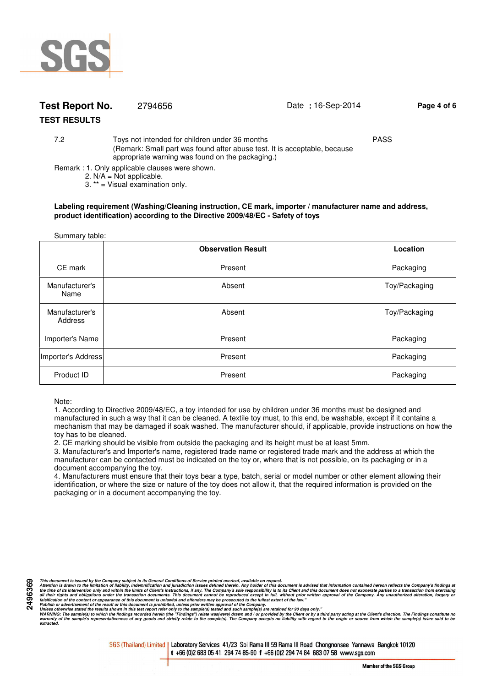

# **Test Report No.** 2794656 **Date :** 16-Sep-2014 **Page 4 of 6**

# **TEST RESULTS**

7.2 Toys not intended for children under 36 months PASS (Remark: Small part was found after abuse test. It is acceptable, because appropriate warning was found on the packaging.)

Remark : 1. Only applicable clauses were shown.

2.  $N/A = Not$  applicable.

3. \*\* = Visual examination only.

#### **Labeling requirement (Washing/Cleaning instruction, CE mark, importer / manufacturer name and address, product identification) according to the Directive 2009/48/EC - Safety of toys**

| Summary table:            |                           |               |  |  |  |  |
|---------------------------|---------------------------|---------------|--|--|--|--|
|                           | <b>Observation Result</b> | Location      |  |  |  |  |
| CE mark                   | Present                   | Packaging     |  |  |  |  |
| Manufacturer's<br>Name    | Absent                    | Toy/Packaging |  |  |  |  |
| Manufacturer's<br>Address | Absent                    | Toy/Packaging |  |  |  |  |
| Importer's Name           | Present                   | Packaging     |  |  |  |  |
| Importer's Address        | Present                   | Packaging     |  |  |  |  |
| Product ID                | Present                   | Packaging     |  |  |  |  |

#### Note:

1. According to Directive 2009/48/EC, a toy intended for use by children under 36 months must be designed and manufactured in such a way that it can be cleaned. A textile toy must, to this end, be washable, except if it contains a mechanism that may be damaged if soak washed. The manufacturer should, if applicable, provide instructions on how the toy has to be cleaned.

2. CE marking should be visible from outside the packaging and its height must be at least 5mm.

3. Manufacturer's and Importer's name, registered trade name or registered trade mark and the address at which the manufacturer can be contacted must be indicated on the toy or, where that is not possible, on its packaging or in a document accompanying the toy.

4. Manufacturers must ensure that their toys bear a type, batch, serial or model number or other element allowing their identification, or where the size or nature of the toy does not allow it, that the required information is provided on the packaging or in a document accompanying the toy.

This document is issued by the Company subject to its General Conditions of Service printed overled, available on regard.<br>Attention is drawn to the ilmitation of liability, indemnification and jurisdiction issues defined t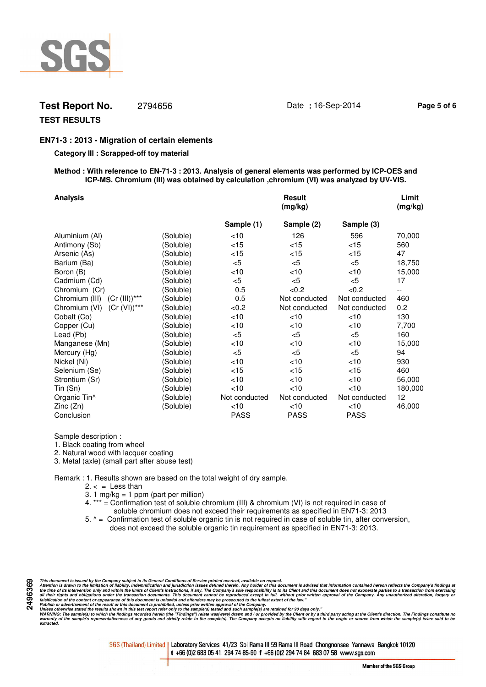

# **Test Report No.** 2794656 Date : 16-Sep-2014 Page 5 of 6

# **TEST RESULTS**

## **EN71-3 : 2013 - Migration of certain elements**

### **Category III : Scrapped-off toy material**

#### **Method : With reference to EN-71-3 : 2013. Analysis of general elements was performed by ICP-OES and ICP-MS. Chromium (III) was obtained by calculation ,chromium (VI) was analyzed by UV-VIS.**

| <b>Analysis</b>                  |           |               | <b>Result</b><br>(mg/kg) |               | Limit<br>(mg/kg)         |
|----------------------------------|-----------|---------------|--------------------------|---------------|--------------------------|
|                                  |           | Sample (1)    | Sample (2)               | Sample (3)    |                          |
| Aluminium (Al)                   | (Soluble) | $<$ 10        | 126                      | 596           | 70,000                   |
| Antimony (Sb)                    | (Soluble) | $<$ 15        | $<$ 15                   | $<$ 15        | 560                      |
| Arsenic (As)                     | (Soluble) | ${<}15$       | $<$ 15                   | $<$ 15        | 47                       |
| Barium (Ba)                      | (Soluble) | $<$ 5         | $<$ 5                    | $<$ 5         | 18,750                   |
| Boron (B)                        | (Soluble) | <10           | $<$ 10                   | $<$ 10        | 15,000                   |
| Cadmium (Cd)                     | (Soluble) | $<$ 5         | < 5                      | < 5           | 17                       |
| Chromium (Cr)                    | (Soluble) | 0.5           | < 0.2                    | <0.2          | $\overline{\phantom{a}}$ |
| Chromium (III) (Cr (III))***     | (Soluble) | 0.5           | Not conducted            | Not conducted | 460                      |
| $(Cr (VI))$ ***<br>Chromium (VI) | (Soluble) | <0.2          | Not conducted            | Not conducted | 0.2                      |
| Cobalt (Co)                      | (Soluble) | $<$ 10        | $<$ 10                   | $<$ 10        | 130                      |
| Copper (Cu)                      | (Soluble) | $<$ 10        | $<$ 10                   | $<$ 10        | 7,700                    |
| Lead (Pb)                        | (Soluble) | $<$ 5         | < 5                      | $<$ 5         | 160                      |
| Manganese (Mn)                   | (Soluble) | $<$ 10        | < 10                     | $<$ 10        | 15,000                   |
| Mercury (Hg)                     | (Soluble) | $<$ 5         | $<$ 5                    | $<$ 5         | 94                       |
| Nickel (Ni)                      | (Soluble) | $<$ 10        | $<$ 10                   | <10           | 930                      |
| Selenium (Se)                    | (Soluble) | < 15          | $<$ 15                   | $<$ 15        | 460                      |
| Strontium (Sr)                   | (Soluble) | $<$ 10        | $<$ 10                   | $<$ 10        | 56,000                   |
| Tin (Sn)                         | (Soluble) | < 10          | < 10                     | $<$ 10        | 180,000                  |
| Organic Tin <sup>^</sup>         | (Soluble) | Not conducted | Not conducted            | Not conducted | 12                       |
| Zinc(Zn)                         | (Soluble) | $<$ 10        | $<$ 10                   | $<$ 10        | 46,000                   |
| Conclusion                       |           | <b>PASS</b>   | <b>PASS</b>              | <b>PASS</b>   |                          |

Sample description :

1. Black coating from wheel

2. Natural wood with lacquer coating

3. Metal (axle) (small part after abuse test)

Remark : 1. Results shown are based on the total weight of dry sample.

- $2. < =$  Less than
- 3. 1 mg/kg = 1 ppm (part per million)
- 4. \*\*\* = Confirmation test of soluble chromium (III) & chromium (VI) is not required in case of soluble chromium does not exceed their requirements as specified in EN71-3: 2013
- 5. ^ = Confirmation test of soluble organic tin is not required in case of soluble tin, after conversion, does not exceed the soluble organic tin requirement as specified in EN71-3: 2013.

This document is issued by the Company subject to its General Conditions of Service printed overled, available on regard.<br>Attention is drawn to the ilmitation of liability, indemnification and jurisdiction issues defined t